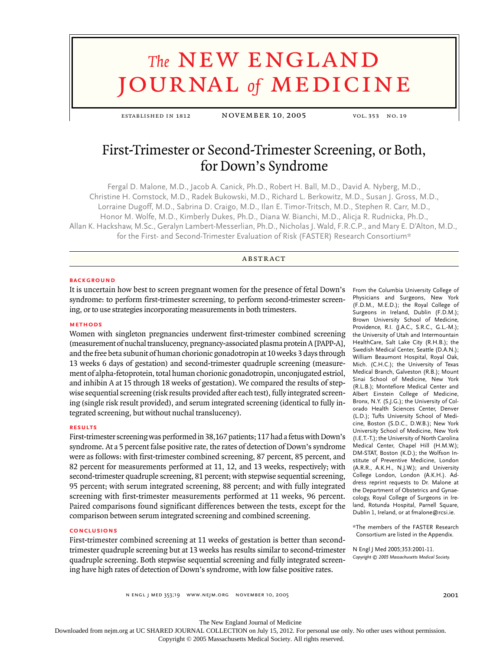# **The NEW ENGLAND** journal *of* medicine

ESTABLISHED IN 1812 NOVEMBER 10, 2005 vol. 353 No. 19

# First-Trimester or Second-Trimester Screening, or Both, for Down's Syndrome

Fergal D. Malone, M.D., Jacob A. Canick, Ph.D., Robert H. Ball, M.D., David A. Nyberg, M.D., Christine H. Comstock, M.D., Radek Bukowski, M.D., Richard L. Berkowitz, M.D., Susan J. Gross, M.D., Lorraine Dugoff, M.D., Sabrina D. Craigo, M.D., Ilan E. Timor-Tritsch, M.D., Stephen R. Carr, M.D., Honor M. Wolfe, M.D., Kimberly Dukes, Ph.D., Diana W. Bianchi, M.D., Alicja R. Rudnicka, Ph.D., Allan K. Hackshaw, M.Sc., Geralyn Lambert-Messerlian, Ph.D., Nicholas J. Wald, F.R.C.P., and Mary E. D'Alton, M.D., for the First- and Second-Trimester Evaluation of Risk (FASTER) Research Consortium\*

#### **ABSTRACT**

# **background**

It is uncertain how best to screen pregnant women for the presence of fetal Down's syndrome: to perform first-trimester screening, to perform second-trimester screening, or to use strategies incorporating measurements in both trimesters.

#### **methods**

Women with singleton pregnancies underwent first-trimester combined screening (measurement of nuchal translucency, pregnancy-associated plasma protein A [PAPP-A], and the free beta subunit of human chorionic gonadotropin at 10 weeks 3 days through 13 weeks 6 days of gestation) and second-trimester quadruple screening (measurement of alpha-fetoprotein, total human chorionic gonadotropin, unconjugated estriol, and inhibin A at 15 through 18 weeks of gestation). We compared the results of stepwise sequential screening (risk results provided after each test), fully integrated screening (single risk result provided), and serum integrated screening (identical to fully integrated screening, but without nuchal translucency).

#### **results**

First-trimester screening was performed in 38,167 patients; 117 had a fetus with Down's syndrome. At a 5 percent false positive rate, the rates of detection of Down's syndrome were as follows: with first-trimester combined screening, 87 percent, 85 percent, and 82 percent for measurements performed at 11, 12, and 13 weeks, respectively; with second-trimester quadruple screening, 81 percent; with stepwise sequential screening, 95 percent; with serum integrated screening, 88 percent; and with fully integrated screening with first-trimester measurements performed at 11 weeks, 96 percent. Paired comparisons found significant differences between the tests, except for the comparison between serum integrated screening and combined screening.

# **conclusions**

First-trimester combined screening at 11 weeks of gestation is better than secondtrimester quadruple screening but at 13 weeks has results similar to second-trimester quadruple screening. Both stepwise sequential screening and fully integrated screening have high rates of detection of Down's syndrome, with low false positive rates.

From the Columbia University College of Physicians and Surgeons, New York (F.D.M., M.E.D.); the Royal College of Surgeons in Ireland, Dublin (F.D.M.); Brown University School of Medicine, Providence, R.I. (J.A.C., S.R.C., G.L.-M.); the University of Utah and Intermountain HealthCare, Salt Lake City (R.H.B.); the Swedish Medical Center, Seattle (D.A.N.); William Beaumont Hospital, Royal Oak, Mich. (C.H.C.); the University of Texas Medical Branch, Galveston (R.B.); Mount Sinai School of Medicine, New York (R.L.B.); Montefiore Medical Center and Albert Einstein College of Medicine, Bronx, N.Y. (S.J.G.); the University of Colorado Health Sciences Center, Denver (L.D.); Tufts University School of Medicine, Boston (S.D.C., D.W.B.); New York University School of Medicine, New York (I.E.T.-T.); the University of North Carolina Medical Center, Chapel Hill (H.M.W.); DM-STAT, Boston (K.D.); the Wolfson Institute of Preventive Medicine, London (A.R.R., A.K.H., N.J.W.); and University College London, London (A.K.H.). Address reprint requests to Dr. Malone at the Department of Obstetrics and Gynaecology, Royal College of Surgeons in Ireland, Rotunda Hospital, Parnell Square, Dublin 1, Ireland, or at fmalone@rcsi.ie.

\*The members of the FASTER Research Consortium are listed in the Appendix.

N Engl J Med 2005;353:2001-11. *Copyright © 2005 Massachusetts Medical Society.*

n engl j med 353;19 www.nejm.org november 10, 2005 2001 2001 2001 2001

The New England Journal of Medicine

Downloaded from nejm.org at UC SHARED JOURNAL COLLECTION on July 15, 2012. For personal use only. No other uses without permission.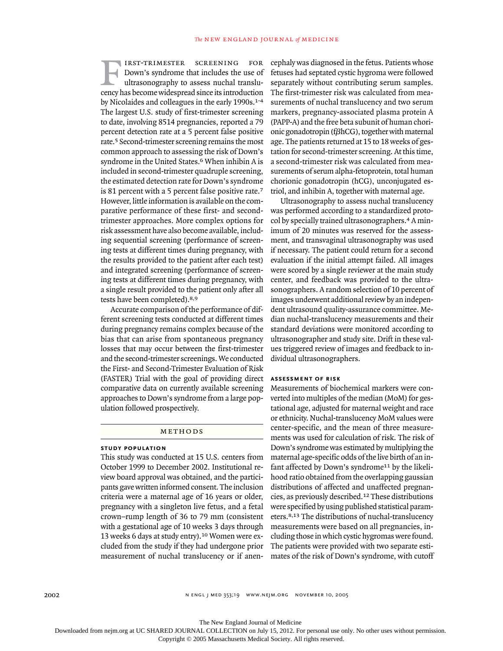irst-trimester screening for Down's syndrome that includes the use of ultrasonography to assess nuchal translucency has become widespread since its introduction by Nicolaides and colleagues in the early 1990s.1-4 The largest U.S. study of first-trimester screening to date, involving 8514 pregnancies, reported a 79 percent detection rate at a 5 percent false positive rate.5 Second-trimester screening remains the most common approach to assessing the risk of Down's syndrome in the United States.<sup>6</sup> When inhibin A is included in second-trimester quadruple screening, the estimated detection rate for Down's syndrome is 81 percent with a 5 percent false positive rate.<sup>7</sup> However, little information is available on the comparative performance of these first- and secondtrimester approaches. More complex options for risk assessment have also become available, including sequential screening (performance of screening tests at different times during pregnancy, with the results provided to the patient after each test) and integrated screening (performance of screening tests at different times during pregnancy, with a single result provided to the patient only after all tests have been completed).8,9 F

Accurate comparison of the performance of different screening tests conducted at different times during pregnancy remains complex because of the bias that can arise from spontaneous pregnancy losses that may occur between the first-trimester and the second-trimester screenings. We conducted the First- and Second-Trimester Evaluation of Risk (FASTER) Trial with the goal of providing direct comparative data on currently available screening approaches to Down's syndrome from a large population followed prospectively.

#### methods

# **study population**

This study was conducted at 15 U.S. centers from October 1999 to December 2002. Institutional review board approval was obtained, and the participants gave written informed consent. The inclusion criteria were a maternal age of 16 years or older, pregnancy with a singleton live fetus, and a fetal crown–rump length of 36 to 79 mm (consistent with a gestational age of 10 weeks 3 days through 13 weeks 6 days at study entry).10 Women were excluded from the study if they had undergone prior measurement of nuchal translucency or if anen-

cephaly was diagnosed in the fetus. Patients whose fetuses had septated cystic hygroma were followed separately without contributing serum samples. The first-trimester risk was calculated from measurements of nuchal translucency and two serum markers, pregnancy-associated plasma protein A (PAPP-A) and the free beta subunit of human chorionic gonadotropin (f*b*hCG), together with maternal age. The patients returned at 15 to 18 weeks of gestation for second-trimester screening. At this time, a second-trimester risk was calculated from measurements of serum alpha-fetoprotein, total human chorionic gonadotropin (hCG), unconjugated estriol, and inhibin A, together with maternal age.

Ultrasonography to assess nuchal translucency was performed according to a standardized protocol by specially trained ultrasonographers.4 A minimum of 20 minutes was reserved for the assessment, and transvaginal ultrasonography was used if necessary. The patient could return for a second evaluation if the initial attempt failed. All images were scored by a single reviewer at the main study center, and feedback was provided to the ultrasonographers. A random selection of 10 percent of images underwent additional review by an independent ultrasound quality-assurance committee. Median nuchal-translucency measurements and their standard deviations were monitored according to ultrasonographer and study site. Drift in these values triggered review of images and feedback to individual ultrasonographers.

#### **assessment of risk**

Measurements of biochemical markers were converted into multiples of the median (MoM) for gestational age, adjusted for maternal weight and race or ethnicity. Nuchal-translucency MoM values were center-specific, and the mean of three measurements was used for calculation of risk. The risk of Down's syndrome was estimated by multiplying the maternal age-specific odds of the live birth of an infant affected by Down's syndrome11 by the likelihood ratio obtained from the overlapping gaussian distributions of affected and unaffected pregnancies, as previously described.12 These distributions were specified by using published statistical parameters.8,13 The distributions of nuchal-translucency measurements were based on all pregnancies, including those in which cystic hygromas were found. The patients were provided with two separate estimates of the risk of Down's syndrome, with cutoff

The New England Journal of Medicine Downloaded from nejm.org at UC SHARED JOURNAL COLLECTION on July 15, 2012. For personal use only. No other uses without permission.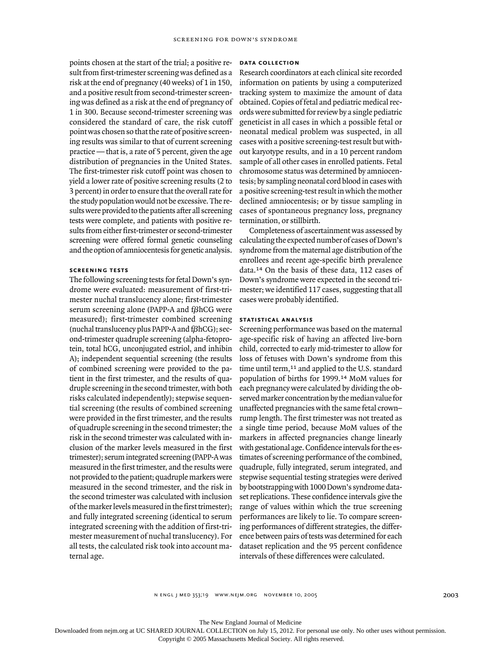points chosen at the start of the trial; a positive result from first-trimester screening was defined as a risk at the end of pregnancy (40 weeks) of 1 in 150, and a positive result from second-trimester screening was defined as a risk at the end of pregnancy of 1 in 300. Because second-trimester screening was considered the standard of care, the risk cutoff point was chosen so that the rate of positive screening results was similar to that of current screening practice — that is, a rate of 5 percent, given the age distribution of pregnancies in the United States. The first-trimester risk cutoff point was chosen to yield a lower rate of positive screening results (2 to 3 percent) in order to ensure that the overall rate for the study population would not be excessive. The results were provided to the patients after all screening tests were complete, and patients with positive results from either first-trimester or second-trimester screening were offered formal genetic counseling and the option of amniocentesis for genetic analysis.

#### **screening tests**

The following screening tests for fetal Down's syndrome were evaluated: measurement of first-trimester nuchal translucency alone; first-trimester serum screening alone (PAPP-A and f*b*hCG were measured); first-trimester combined screening (nuchal translucency plus PAPP-A and f*b*hCG); second-trimester quadruple screening (alpha-fetoprotein, total hCG, unconjugated estriol, and inhibin A); independent sequential screening (the results of combined screening were provided to the patient in the first trimester, and the results of quadruple screening in the second trimester, with both risks calculated independently); stepwise sequential screening (the results of combined screening were provided in the first trimester, and the results of quadruple screening in the second trimester; the risk in the second trimester was calculated with inclusion of the marker levels measured in the first trimester); serum integrated screening (PAPP-A was measured in the first trimester, and the results were not provided to the patient; quadruple markers were measured in the second trimester, and the risk in the second trimester was calculated with inclusion of the marker levels measured in the first trimester); and fully integrated screening (identical to serum integrated screening with the addition of first-trimester measurement of nuchal translucency). For all tests, the calculated risk took into account maternal age.

# **data collection**

Research coordinators at each clinical site recorded information on patients by using a computerized tracking system to maximize the amount of data obtained. Copies of fetal and pediatric medical records were submitted for review by a single pediatric geneticist in all cases in which a possible fetal or neonatal medical problem was suspected, in all cases with a positive screening-test result but without karyotype results, and in a 10 percent random sample of all other cases in enrolled patients. Fetal chromosome status was determined by amniocentesis; by sampling neonatal cord blood in cases with a positive screening-test result in which the mother declined amniocentesis; or by tissue sampling in cases of spontaneous pregnancy loss, pregnancy termination, or stillbirth.

Completeness of ascertainment was assessed by calculating the expected number of cases of Down's syndrome from the maternal age distribution of the enrollees and recent age-specific birth prevalence data.14 On the basis of these data, 112 cases of Down's syndrome were expected in the second trimester; we identified 117 cases, suggesting that all cases were probably identified.

#### **statistical analysis**

Screening performance was based on the maternal age-specific risk of having an affected live-born child, corrected to early mid-trimester to allow for loss of fetuses with Down's syndrome from this time until term,<sup>11</sup> and applied to the U.S. standard population of births for 1999.14 MoM values for each pregnancy were calculated by dividing the observed marker concentration by the median value for unaffected pregnancies with the same fetal crown– rump length. The first trimester was not treated as a single time period, because MoM values of the markers in affected pregnancies change linearly with gestational age. Confidence intervals for the estimates of screening performance of the combined, quadruple, fully integrated, serum integrated, and stepwise sequential testing strategies were derived by bootstrapping with 1000 Down's syndrome dataset replications. These confidence intervals give the range of values within which the true screening performances are likely to lie. To compare screening performances of different strategies, the difference between pairs of tests was determined for each dataset replication and the 95 percent confidence intervals of these differences were calculated.

The New England Journal of Medicine

Downloaded from nejm.org at UC SHARED JOURNAL COLLECTION on July 15, 2012. For personal use only. No other uses without permission.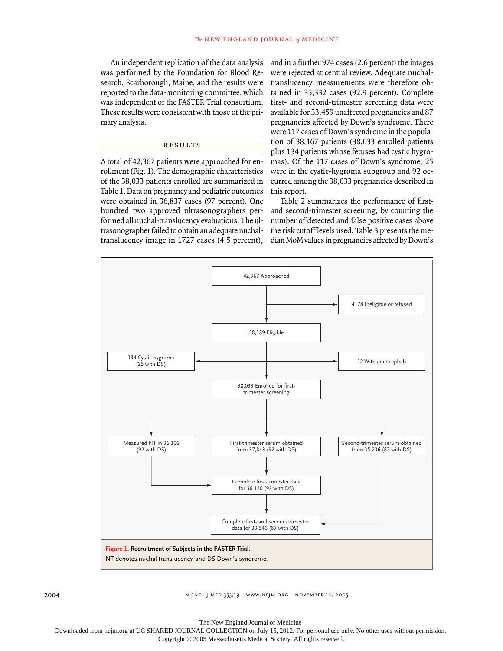An independent replication of the data analysis was performed by the Foundation for Blood Research, Scarborough, Maine, and the results were reported to the data-monitoring committee, which was independent of the FASTER Trial consortium. These results were consistent with those of the primary analysis.

#### results

A total of 42,367 patients were approached for enrollment (Fig. 1). The demographic characteristics of the 38,033 patients enrolled are summarized in Table 1. Data on pregnancy and pediatric outcomes were obtained in 36,837 cases (97 percent). One hundred two approved ultrasonographers performed all nuchal-translucency evaluations. The ultrasonographer failed to obtain an adequate nuchaltranslucency image in 1727 cases (4.5 percent), and in a further 974 cases (2.6 percent) the images were rejected at central review. Adequate nuchaltranslucency measurements were therefore obtained in 35,332 cases (92.9 percent). Complete first- and second-trimester screening data were available for 33,459 unaffected pregnancies and 87 pregnancies affected by Down's syndrome. There were 117 cases of Down's syndrome in the population of 38,167 patients (38,033 enrolled patients plus 134 patients whose fetuses had cystic hygromas). Of the 117 cases of Down's syndrome, 25 were in the cystic-hygroma subgroup and 92 occurred among the 38,033 pregnancies described in this report.

Table 2 summarizes the performance of firstand second-trimester screening, by counting the number of detected and false positive cases above the risk cutoff levels used. Table 3 presents the median MoM values in pregnancies affected by Down's



The New England Journal of Medicine

Downloaded from nejm.org at UC SHARED JOURNAL COLLECTION on July 15, 2012. For personal use only. No other uses without permission. Copyright © 2005 Massachusetts Medical Society. All rights reserved.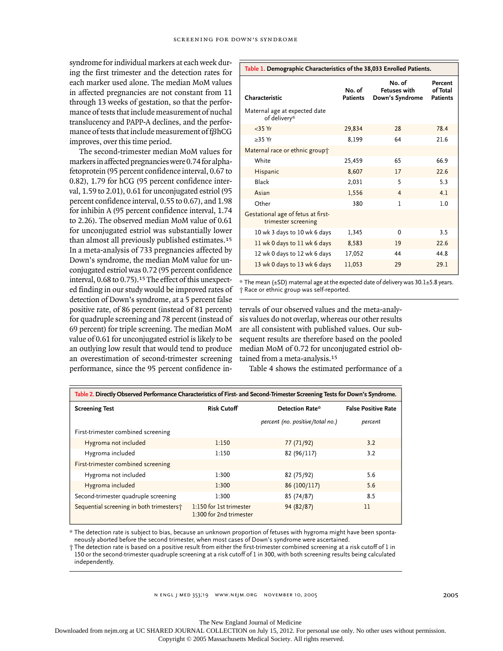syndrome for individual markers at each week during the first trimester and the detection rates for each marker used alone. The median MoM values in affected pregnancies are not constant from 11 through 13 weeks of gestation, so that the performance of tests that include measurement of nuchal translucency and PAPP-A declines, and the performance of tests that include measurement of f*b*hCG improves, over this time period.

The second-trimester median MoM values for markers in affected pregnancies were 0.74 for alphafetoprotein (95 percent confidence interval, 0.67 to 0.82), 1.79 for hCG (95 percent confidence interval, 1.59 to 2.01), 0.61 for unconjugated estriol (95 percent confidence interval, 0.55 to 0.67), and 1.98 for inhibin A (95 percent confidence interval, 1.74 to 2.26). The observed median MoM value of 0.61 for unconjugated estriol was substantially lower than almost all previously published estimates.<sup>15</sup> In a meta-analysis of 733 pregnancies affected by Down's syndrome, the median MoM value for unconjugated estriol was 0.72 (95 percent confidence interval, 0.68 to 0.75).<sup>15</sup> The effect of this unexpected finding in our study would be improved rates of detection of Down's syndrome, at a 5 percent false positive rate, of 86 percent (instead of 81 percent) for quadruple screening and 78 percent (instead of 69 percent) for triple screening. The median MoM value of 0.61 for unconjugated estriol is likely to be an outlying low result that would tend to produce an overestimation of second-trimester screening performance, since the 95 percent confidence in-

| rable 1. Demographic Characteristics of the J0,033 Emoneum attents. |                           |                                                  |                                        |  |  |  |
|---------------------------------------------------------------------|---------------------------|--------------------------------------------------|----------------------------------------|--|--|--|
| Characteristic                                                      | No. of<br><b>Patients</b> | No. of<br><b>Fetuses with</b><br>Down's Syndrome | Percent<br>of Total<br><b>Patients</b> |  |  |  |
| Maternal age at expected date<br>of delivery*                       |                           |                                                  |                                        |  |  |  |
| $<$ 35 Yr                                                           | 29,834                    | 28                                               | 78.4                                   |  |  |  |
| $>35$ Yr                                                            | 8,199                     | 64                                               | 21.6                                   |  |  |  |
| Maternal race or ethnic group+                                      |                           |                                                  |                                        |  |  |  |
| White                                                               | 25,459                    | 65                                               | 66.9                                   |  |  |  |
| Hispanic                                                            | 8,607                     | 17                                               | 22.6                                   |  |  |  |
| Black                                                               | 2,031                     | 5                                                | 5.3                                    |  |  |  |
| Asian                                                               | 1,556                     | $\overline{4}$                                   | 4.1                                    |  |  |  |
| Other                                                               | 380                       | 1                                                | 1.0                                    |  |  |  |
| Gestational age of fetus at first-<br>trimester screening           |                           |                                                  |                                        |  |  |  |
| 10 wk 3 days to 10 wk 6 days                                        | 1,345                     | 0                                                | 3.5                                    |  |  |  |
| 11 wk 0 days to 11 wk 6 days                                        | 8,583                     | 19                                               | 22.6                                   |  |  |  |
| 12 wk 0 days to 12 wk 6 days                                        | 17,052                    | 44                                               | 44.8                                   |  |  |  |
| 13 wk 0 days to 13 wk 6 days                                        | 11,053                    | 29                                               | 29.1                                   |  |  |  |

**Table 1. Demographic Characteristics of the 38,033 Enrolled Patients.**

 $*$  The mean ( $\pm$ SD) maternal age at the expected date of delivery was 30.1 $\pm$ 5.8 years. † Race or ethnic group was self-reported.

tervals of our observed values and the meta-analysis values do not overlap, whereas our other results are all consistent with published values. Our subsequent results are therefore based on the pooled median MoM of 0.72 for unconjugated estriol obtained from a meta-analysis.<sup>15</sup>

Table 4 shows the estimated performance of a

| Table 2. Directly Observed Performance Characteristics of First- and Second-Trimester Screening Tests for Down's Syndrome. |                                                                     |                                  |         |  |  |  |
|----------------------------------------------------------------------------------------------------------------------------|---------------------------------------------------------------------|----------------------------------|---------|--|--|--|
| <b>Screening Test</b>                                                                                                      | <b>Risk Cutoff</b><br><b>False Positive Rate</b><br>Detection Rate* |                                  |         |  |  |  |
|                                                                                                                            |                                                                     | percent (no. positive/total no.) | percent |  |  |  |
| First-trimester combined screening                                                                                         |                                                                     |                                  |         |  |  |  |
| Hygroma not included                                                                                                       | 1:150                                                               | 77 (71/92)                       | 3.2     |  |  |  |
| Hygroma included                                                                                                           | 1:150                                                               | 82 (96/117)                      | 3.2     |  |  |  |
| First-trimester combined screening                                                                                         |                                                                     |                                  |         |  |  |  |
| Hygroma not included                                                                                                       | 1:300                                                               | 82 (75/92)                       | 5.6     |  |  |  |
| Hygroma included                                                                                                           | 1:300                                                               | 86 (100/117)                     | 5.6     |  |  |  |
| Second-trimester quadruple screening                                                                                       | 1:300                                                               | 85 (74/87)                       | 8.5     |  |  |  |
| Sequential screening in both trimesters?                                                                                   | 1:150 for 1st trimester<br>1:300 for 2nd trimester                  | 94 (82/87)                       | 11      |  |  |  |

\* The detection rate is subject to bias, because an unknown proportion of fetuses with hygroma might have been spontaneously aborted before the second trimester, when most cases of Down's syndrome were ascertained.

† The detection rate is based on a positive result from either the first-trimester combined screening at a risk cutoff of 1 in 150 or the second-trimester quadruple screening at a risk cutoff of 1 in 300, with both screening results being calculated independently.

n engl j med 353;19 www.nejm.org november 10, 2005

2005

The New England Journal of Medicine

Downloaded from nejm.org at UC SHARED JOURNAL COLLECTION on July 15, 2012. For personal use only. No other uses without permission.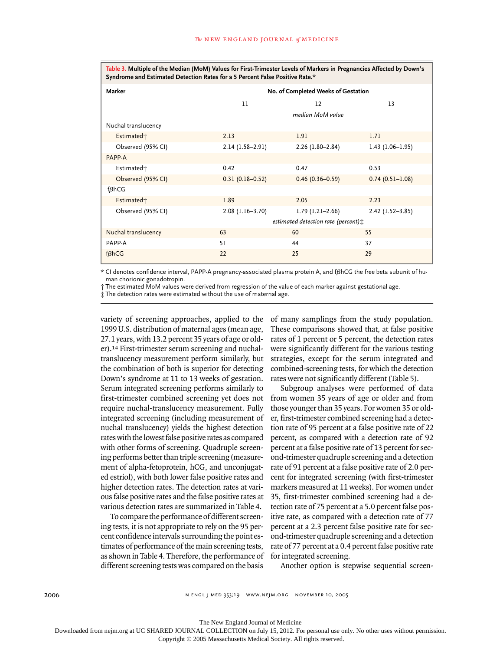| 39 Syndrome and Estimated Detection Rates for a 3 Percent Paise Positive Rate." |                                          |                     |                     |  |  |  |
|---------------------------------------------------------------------------------|------------------------------------------|---------------------|---------------------|--|--|--|
| Marker                                                                          | No. of Completed Weeks of Gestation      |                     |                     |  |  |  |
|                                                                                 | 11<br>12<br>13                           |                     |                     |  |  |  |
|                                                                                 | median MoM value                         |                     |                     |  |  |  |
| Nuchal translucency                                                             |                                          |                     |                     |  |  |  |
| Estimated <sup>+</sup>                                                          | 2.13                                     | 1.91                | 1.71                |  |  |  |
| Observed (95% CI)                                                               | $2.14(1.58-2.91)$                        | $2.26(1.80-2.84)$   | $1.43(1.06-1.95)$   |  |  |  |
| PAPP-A                                                                          |                                          |                     |                     |  |  |  |
| Estimated <sup>+</sup>                                                          | 0.42                                     | 0.47                | 0.53                |  |  |  |
| Observed (95% CI)                                                               | $0.31(0.18 - 0.52)$                      | $0.46(0.36 - 0.59)$ | $0.74(0.51 - 1.08)$ |  |  |  |
| $f\beta$ hCG                                                                    |                                          |                     |                     |  |  |  |
| Estimated <sup>+</sup>                                                          | 1.89                                     | 2.05                | 2.23                |  |  |  |
| Observed (95% CI)                                                               | $2.08(1.16-3.70)$                        | $1.79(1.21 - 2.66)$ | $2.42(1.52 - 3.85)$ |  |  |  |
|                                                                                 | estimated detection rate (percent) $\pm$ |                     |                     |  |  |  |
| Nuchal translucency                                                             | 63                                       | 60                  | 55                  |  |  |  |
| PAPP-A                                                                          | 51                                       | 44                  | 37                  |  |  |  |
| $f\beta$ hCG                                                                    | 22                                       | 25                  | 29                  |  |  |  |

**Table 3. Multiple of the Median (MoM) Values for First-Trimester Levels of Markers in Pregnancies Affected by Down's Syndrome and Estimated Detection Rates for a 5 Percent False Positive Rate.\***

\* CI denotes confidence interval, PAPP-A pregnancy-associated plasma protein A, and f*b*hCG the free beta subunit of human chorionic gonadotropin.

† The estimated MoM values were derived from regression of the value of each marker against gestational age.

 $\ddagger$  The detection rates were estimated without the use of maternal age.

variety of screening approaches, applied to the 1999 U.S. distribution of maternal ages (mean age, 27.1 years, with 13.2 percent 35 years of age or older).14 First-trimester serum screening and nuchaltranslucency measurement perform similarly, but the combination of both is superior for detecting Down's syndrome at 11 to 13 weeks of gestation. Serum integrated screening performs similarly to first-trimester combined screening yet does not require nuchal-translucency measurement. Fully integrated screening (including measurement of nuchal translucency) yields the highest detection rates with the lowest false positive rates as compared with other forms of screening. Quadruple screening performs better than triple screening (measurement of alpha-fetoprotein, hCG, and unconjugated estriol), with both lower false positive rates and higher detection rates. The detection rates at various false positive rates and the false positive rates at various detection rates are summarized in Table 4.

To compare the performance of different screening tests, it is not appropriate to rely on the 95 percent confidence intervals surrounding the point estimates of performance of the main screening tests, as shown in Table 4. Therefore, the performance of different screening tests was compared on the basis

of many samplings from the study population. These comparisons showed that, at false positive rates of 1 percent or 5 percent, the detection rates were significantly different for the various testing strategies, except for the serum integrated and combined-screening tests, for which the detection rates were not significantly different (Table 5).

Subgroup analyses were performed of data from women 35 years of age or older and from those younger than 35 years. For women 35 or older, first-trimester combined screening had a detection rate of 95 percent at a false positive rate of 22 percent, as compared with a detection rate of 92 percent at a false positive rate of 13 percent for second-trimester quadruple screening and a detection rate of 91 percent at a false positive rate of 2.0 percent for integrated screening (with first-trimester markers measured at 11 weeks). For women under 35, first-trimester combined screening had a detection rate of 75 percent at a 5.0 percent false positive rate, as compared with a detection rate of 77 percent at a 2.3 percent false positive rate for second-trimester quadruple screening and a detection rate of 77 percent at a 0.4 percent false positive rate for integrated screening.

Another option is stepwise sequential screen-

n engl j med 353;19 www.nejm.org november 10, 2005

The New England Journal of Medicine

Downloaded from nejm.org at UC SHARED JOURNAL COLLECTION on July 15, 2012. For personal use only. No other uses without permission.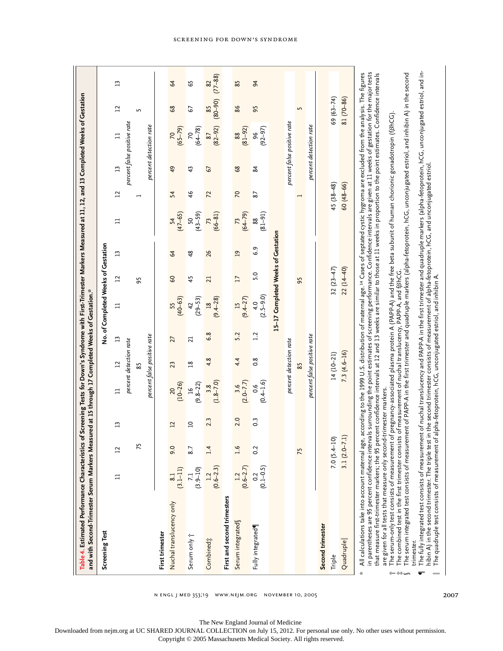| Table 4. Estimated Performance Characteristics of Screening Tests for Down's Syndrome with First-Trimester Markers Measured at 11, 12, and 13 Completed Weeks of Gestation<br>and with Second-Trimester Serum Markers Measur                                                                                                                                                                 |                                  |                   |                | ed at 15 through 17 Completed Weeks of Gestation.*                                                                                                                                                                                                                                                       |                             |     |                                     |                 |                |                   |                |                 |                               |                   |                   |
|----------------------------------------------------------------------------------------------------------------------------------------------------------------------------------------------------------------------------------------------------------------------------------------------------------------------------------------------------------------------------------------------|----------------------------------|-------------------|----------------|----------------------------------------------------------------------------------------------------------------------------------------------------------------------------------------------------------------------------------------------------------------------------------------------------------|-----------------------------|-----|-------------------------------------|-----------------|----------------|-------------------|----------------|-----------------|-------------------------------|-------------------|-------------------|
| Screening Test                                                                                                                                                                                                                                                                                                                                                                               |                                  |                   |                |                                                                                                                                                                                                                                                                                                          |                             |     | No. of Completed Weeks of Gestation |                 |                |                   |                |                 |                               |                   |                   |
|                                                                                                                                                                                                                                                                                                                                                                                              | ።                                | $\overline{12}$   | 13             | Ξ                                                                                                                                                                                                                                                                                                        | $\mathbf{L}$                | 13  | $\Box$                              | $\overline{12}$ | $\mathbf{L}$   | $\Box$            | 12             | $\overline{13}$ | $\Box$                        | $\overline{12}$   | $\overline{13}$   |
|                                                                                                                                                                                                                                                                                                                                                                                              |                                  |                   |                |                                                                                                                                                                                                                                                                                                          | percent detection rate      |     |                                     |                 |                |                   |                |                 | percent false positive rate   |                   |                   |
|                                                                                                                                                                                                                                                                                                                                                                                              |                                  | 75                |                |                                                                                                                                                                                                                                                                                                          | 85                          |     |                                     | 56              |                |                   |                |                 |                               | 5                 |                   |
|                                                                                                                                                                                                                                                                                                                                                                                              |                                  |                   |                |                                                                                                                                                                                                                                                                                                          | percent false positive rate |     |                                     |                 |                |                   |                |                 | percent detection rate        |                   |                   |
| First trimester                                                                                                                                                                                                                                                                                                                                                                              |                                  |                   |                |                                                                                                                                                                                                                                                                                                          |                             |     |                                     |                 |                |                   |                |                 |                               |                   |                   |
| Nuchal translucency only                                                                                                                                                                                                                                                                                                                                                                     | $(3.1 - 11)$<br>$\overline{8.1}$ | 9.0               | 12             | $(10 - 26)$<br>20                                                                                                                                                                                                                                                                                        | 23                          | 27  | $(40 - 63)$<br>55                   | 60              | 3              | $(47 - 65)$<br>54 | 54             | 49              | $(65 - 79)$<br>$\overline{2}$ | $\frac{8}{3}$     | 34                |
| Serum only t                                                                                                                                                                                                                                                                                                                                                                                 | $(3.9 - 10)$                     | 8.7               | $\overline{a}$ | $16$<br>(9.8–22)                                                                                                                                                                                                                                                                                         | $\overline{18}$             | 21  | $(29 - 53)$<br>42                   | 45              | $\frac{8}{3}$  | $(43 - 59)$<br>50 | 46             | 43              | $(64 - 78)$<br>$\overline{2}$ | 5                 | 59                |
| Combined <sub>:</sub>                                                                                                                                                                                                                                                                                                                                                                        | $(0.6 - 2.3)$                    | $\overline{14}$   | 2.3            | $(1.8 - 7.0)$<br>3.8                                                                                                                                                                                                                                                                                     | 4.8                         | 6.8 | $(9.4 - 28)$<br>$\overline{18}$     | 21              | 26             | $(66 - 81)$<br>73 | 72             | 57              | $(82 - 92)$<br>87             | $(06 - 08)$<br>85 | $(77 - 88)$<br>82 |
| First and second trimesters                                                                                                                                                                                                                                                                                                                                                                  |                                  |                   |                |                                                                                                                                                                                                                                                                                                          |                             |     |                                     |                 |                |                   |                |                 |                               |                   |                   |
| Serum integrated                                                                                                                                                                                                                                                                                                                                                                             | $(0.6 - 2.7)$<br>1.2             | 1.6               | 2.0            | $(2.0 - 7.7)$<br>3.6                                                                                                                                                                                                                                                                                     | 4.4                         | 5.2 | $(9.4 - 27)$<br>$\overline{15}$     | $\overline{17}$ | $\overline{a}$ | $(64 - 79)$<br>73 | $\overline{2}$ | $\frac{8}{3}$   | $(81 - 92)$<br>88             | 86                | 85                |
| Fully integrated                                                                                                                                                                                                                                                                                                                                                                             | $(0.1 - 0.5)$<br>$\overline{0}$  | $\overline{0.2}$  | $\overline{0}$ | $(0.4 - 1.6)$<br>$\frac{6}{10}$                                                                                                                                                                                                                                                                          | $\frac{8}{1}$               | 1.2 | $(2.5 - 9.0)$<br>4.0                | 5.0             | თ<br>نما       | $(81 - 91)$<br>88 | 87             | 84              | $(92 - 97)$<br>96             | 56                | $\overline{94}$   |
|                                                                                                                                                                                                                                                                                                                                                                                              |                                  |                   |                |                                                                                                                                                                                                                                                                                                          |                             |     | 15-17 Completed Weeks of Gestation  |                 |                |                   |                |                 |                               |                   |                   |
|                                                                                                                                                                                                                                                                                                                                                                                              |                                  |                   |                |                                                                                                                                                                                                                                                                                                          | percent detection rate      |     |                                     |                 |                |                   |                |                 | percent false positive rate   |                   |                   |
|                                                                                                                                                                                                                                                                                                                                                                                              |                                  | 75                |                |                                                                                                                                                                                                                                                                                                          | 85                          |     |                                     | 56              |                |                   |                |                 |                               | $\overline{5}$    |                   |
|                                                                                                                                                                                                                                                                                                                                                                                              |                                  |                   |                |                                                                                                                                                                                                                                                                                                          | percent false positive rate |     |                                     |                 |                |                   |                |                 | percent detection rate        |                   |                   |
| Second trimester                                                                                                                                                                                                                                                                                                                                                                             |                                  |                   |                |                                                                                                                                                                                                                                                                                                          |                             |     |                                     |                 |                |                   |                |                 |                               |                   |                   |
| Triple                                                                                                                                                                                                                                                                                                                                                                                       |                                  | $7.0(5.4-10)$     |                |                                                                                                                                                                                                                                                                                                          | $14(10-21)$                 |     |                                     | $32(23-47)$     |                |                   | $45(38-48)$    |                 |                               | $69(63 - 74)$     |                   |
| Quadruple                                                                                                                                                                                                                                                                                                                                                                                    |                                  | 3.1 $(2.0 - 7.1)$ |                |                                                                                                                                                                                                                                                                                                          | $7.3(4.6-16)$               |     |                                     | $22(14-40)$     |                |                   | 60 (48-66)     |                 |                               | $81(70-86)$       |                   |
| All calculations take into account maternal age, according to the 1999 U.S. distribution of maternal age. <sup>14</sup> Cases of septated cystic hygroma are excluded from the analysis. The figures<br>are given for all tests that measure only second-trimester markers.<br>in parentheses are 95 percent confidence intervals<br>that measure first-trimester markers; the 95 perce<br>∗ |                                  |                   |                | surrounding the point estimates of screening performance. Confidence intervals are given at 11 weeks of gestation for the major tests<br>nt confidence intervals at 12 and 13 weeks are similar to those at 11 weeks in proportion to the point estimates. Confidence intervals                          |                             |     |                                     |                 |                |                   |                |                 |                               |                   |                   |
| The serum integrated test consists of measurement of PAPP-A in the first trimester and quadruple markers (alpha-fetoprotein, hCG, unconjugated estriol, and inhibin A) in the second<br>The combined test in the first trimester consists of measurement of nuchal translucency, PAPP-A, and f $\beta$ hCG.<br>The serum-only test consists of measurement of<br>÷                           |                                  |                   |                | pregnancy-associated plasma protein A (PAPP-A) and the free beta subunit of human chorionic gonadotropin (fβhCG).                                                                                                                                                                                        |                             |     |                                     |                 |                |                   |                |                 |                               |                   |                   |
| The fully integrated test consists of measurement<br>hibin A) in the second trimester. The triple test in<br>The quadruple test consists of measurement of al<br>trimester.                                                                                                                                                                                                                  |                                  |                   |                | of nuchal translucency and PAPP-A in the first trimester and quadruple markers (alpha-fetoprotein, hCG, unconjugated estriol, and in-<br>the second trimester consists of measurement of alpha-fetoprotein, hCG, and unconjugated estriol.<br>pha-fetoprotein, hCG, unconjugated estriol, and inhibin A. |                             |     |                                     |                 |                |                   |                |                 |                               |                   |                   |

n engl j med 353;19 www.nejm.org november 10, 2005

2007

The New England Journal of Medicine

Downloaded from nejm.org at UC SHARED JOURNAL COLLECTION on July 15, 2012. For personal use only. No other uses without permission.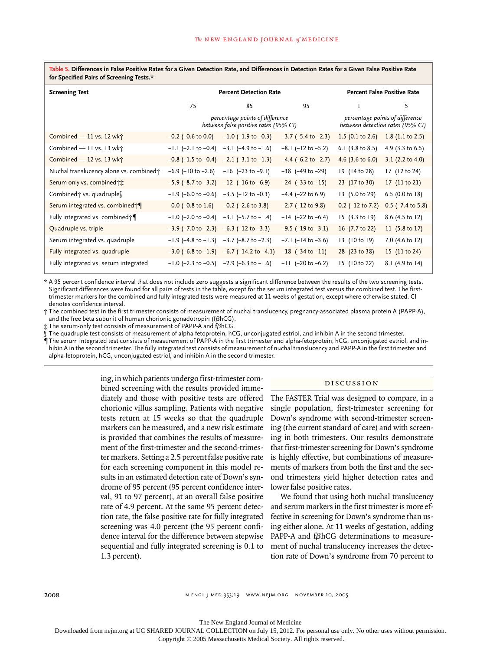| ior opeemed rans or oereching resist    |                               |                                                                          |                                |                                    |                                                                     |  |
|-----------------------------------------|-------------------------------|--------------------------------------------------------------------------|--------------------------------|------------------------------------|---------------------------------------------------------------------|--|
| <b>Screening Test</b>                   | <b>Percent Detection Rate</b> |                                                                          |                                | <b>Percent False Positive Rate</b> |                                                                     |  |
|                                         | 75                            | 85                                                                       | 95                             | 1                                  | 5                                                                   |  |
|                                         |                               | percentage points of difference<br>between false positive rates (95% CI) |                                |                                    | percentage points of difference<br>between detection rates (95% CI) |  |
| Combined - 11 vs. 12 wkt                | $-0.2$ ( $-0.6$ to 0.0)       | $-1.0$ ( $-1.9$ to $-0.3$ )                                              | $-3.7$ ( $-5.4$ to $-2.3$ )    | 1.5 $(0.1 \text{ to } 2.6)$        | $1.8$ (1.1 to 2.5)                                                  |  |
| Combined - 11 vs. 13 wk+                | $-1.1$ (-2.1 to $-0.4$ )      | $-3.1$ ( $-4.9$ to $-1.6$ )                                              | $-8.1$ ( $-12$ to $-5.2$ )     | 6.1 $(3.8 \text{ to } 8.5)$        | 4.9 $(3.3 \text{ to } 6.5)$                                         |  |
| Combined - 12 vs. 13 wkt                | $-0.8$ (-1.5 to $-0.4$ )      | $-2.1$ ( $-3.1$ to $-1.3$ )                                              | $-4.4$ (-6.2 to $-2.7$ )       | 4.6 $(3.6 \text{ to } 6.0)$        | $3.1$ (2.2 to 4.0)                                                  |  |
| Nuchal translucency alone vs. combined; | $-6.9$ ( $-10$ to $-2.6$ )    | $-16$ (-23 to -9.1)                                                      | $-38$ ( $-49$ to $-29$ )       | 19 (14 to 28)                      | 17 (12 to 24)                                                       |  |
| Serum only vs. combined tt              | $-5.9$ ( $-8.7$ to $-3.2$ )   | $-12$ ( $-16$ to $-6.9$ )                                                | $-24$ $(-33$ to $-15)$         | 23 (17 to 30)                      | 17 (11 to 21)                                                       |  |
| Combined tvs. quadruples                | $-1.9$ (-6.0 to $-0.6$ )      | $-3.5$ ( $-12$ to $-0.3$ )                                               | $-4.4$ ( $-22$ to 6.9)         | 13 (5.0 to 29)                     | 6.5 $(0.0 \text{ to } 18)$                                          |  |
| Serum integrated vs. combined i         | $0.0$ (-0.8 to 1.6)           | $-0.2$ ( $-2.6$ to 3.8)                                                  | $-2.7$ ( $-12$ to 9.8)         | $0.2$ (-12 to 7.2)                 | $0.5$ ( $-7.4$ to $5.8$ )                                           |  |
| Fully integrated vs. combined;          | $-1.0$ (-2.0 to $-0.4$ )      | $-3.1$ (-5.7 to $-1.4$ )                                                 | $-14$ $(-22 \text{ to } -6.4)$ | 15 (3.3 to 19)                     | 8.6 (4.5 to 12)                                                     |  |
| Quadruple vs. triple                    | $-3.9$ ( $-7.0$ to $-2.3$ )   | $-6.3$ ( $-12$ to $-3.3$ )                                               | $-9.5$ ( $-19$ to $-3.1$ )     | 16 (7.7 to 22)                     | 11 (5.8 to 17)                                                      |  |
| Serum integrated vs. quadruple          | $-1.9$ (-4.8 to $-1.3$ )      | $-3.7$ (-8.7 to $-2.3$ )                                                 | $-7.1$ ( $-14$ to $-3.6$ )     | 13 (10 to 19)                      | 7.0 (4.6 to 12)                                                     |  |
| Fully integrated vs. quadruple          | $-3.0$ ( $-6.8$ to $-1.9$ )   | $-6.7$ ( $-14.2$ to $-4.1$ )                                             | $-18$ $(-34$ to $-11)$         | 28 (23 to 38)                      | 15 (11 to 24)                                                       |  |
| Fully integrated vs. serum integrated   | $-1.0$ (-2.3 to $-0.5$ )      | $-2.9$ (-6.3 to $-1.6$ )                                                 | $-11$ (-20 to -6.2)            | 15 (10 to 22)                      | 8.1 (4.9 to 14)                                                     |  |

**Table 5. Differences in False Positive Rates for a Given Detection Rate, and Differences in Detection Rates for a Given False Positive Rate for Specified Pairs of Screening Tests.\***

\* A 95 percent confidence interval that does not include zero suggests a significant difference between the results of the two screening tests. Significant differences were found for all pairs of tests in the table, except for the serum integrated test versus the combined test. The firsttrimester markers for the combined and fully integrated tests were measured at 11 weeks of gestation, except where otherwise stated. CI denotes confidence interval.

† The combined test in the first trimester consists of measurement of nuchal translucency, pregnancy-associated plasma protein A (PAPP-A), and the free beta subunit of human chorionic gonadotropin (f*b*hCG).

‡ The serum-only test consists of measurement of PAPP-A and f*b*hCG.

The quadruple test consists of measurement of alpha-fetoprotein, hCG, unconjugated estriol, and inhibin A in the second trimester.

¶The serum integrated test consists of measurement of PAPP-A in the first trimester and alpha-fetoprotein, hCG, unconjugated estriol, and inhibin A in the second trimester. The fully integrated test consists of measurement of nuchal translucency and PAPP-A in the first trimester and alpha-fetoprotein, hCG, unconjugated estriol, and inhibin A in the second trimester.

> ing, in which patients undergo first-trimester combined screening with the results provided immediately and those with positive tests are offered chorionic villus sampling. Patients with negative tests return at 15 weeks so that the quadruple markers can be measured, and a new risk estimate is provided that combines the results of measurement of the first-trimester and the second-trimester markers. Setting a 2.5 percent false positive rate for each screening component in this model results in an estimated detection rate of Down's syndrome of 95 percent (95 percent confidence interval, 91 to 97 percent), at an overall false positive rate of 4.9 percent. At the same 95 percent detection rate, the false positive rate for fully integrated screening was 4.0 percent (the 95 percent confidence interval for the difference between stepwise sequential and fully integrated screening is 0.1 to 1.3 percent).

#### discussion

The FASTER Trial was designed to compare, in a single population, first-trimester screening for Down's syndrome with second-trimester screening (the current standard of care) and with screening in both trimesters. Our results demonstrate that first-trimester screening for Down's syndrome is highly effective, but combinations of measurements of markers from both the first and the second trimesters yield higher detection rates and lower false positive rates.

We found that using both nuchal translucency and serum markers in the first trimester is more effective in screening for Down's syndrome than using either alone. At 11 weeks of gestation, adding PAPP-A and f<sub>*BhCG* determinations to measure-</sub> ment of nuchal translucency increases the detection rate of Down's syndrome from 70 percent to

The New England Journal of Medicine Downloaded from nejm.org at UC SHARED JOURNAL COLLECTION on July 15, 2012. For personal use only. No other uses without permission.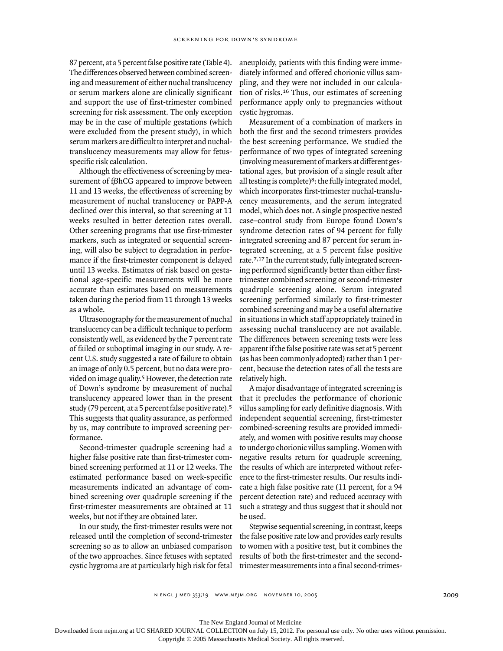87 percent, at a 5 percent false positive rate (Table 4). The differences observed between combined screening and measurement of either nuchal translucency or serum markers alone are clinically significant and support the use of first-trimester combined screening for risk assessment. The only exception may be in the case of multiple gestations (which were excluded from the present study), in which serum markers are difficult to interpret and nuchaltranslucency measurements may allow for fetusspecific risk calculation.

Although the effectiveness of screening by measurement of f*b*hCG appeared to improve between 11 and 13 weeks, the effectiveness of screening by measurement of nuchal translucency or PAPP-A declined over this interval, so that screening at 11 weeks resulted in better detection rates overall. Other screening programs that use first-trimester markers, such as integrated or sequential screening, will also be subject to degradation in performance if the first-trimester component is delayed until 13 weeks. Estimates of risk based on gestational age-specific measurements will be more accurate than estimates based on measurements taken during the period from 11 through 13 weeks as a whole.

Ultrasonography for the measurement of nuchal translucency can be a difficult technique to perform consistently well, as evidenced by the 7 percent rate of failed or suboptimal imaging in our study. A recent U.S. study suggested a rate of failure to obtain an image of only 0.5 percent, but no data were provided on image quality.5 However, the detection rate of Down's syndrome by measurement of nuchal translucency appeared lower than in the present study (79 percent, at a 5 percent false positive rate).<sup>5</sup> This suggests that quality assurance, as performed by us, may contribute to improved screening performance.

Second-trimester quadruple screening had a higher false positive rate than first-trimester combined screening performed at 11 or 12 weeks. The estimated performance based on week-specific measurements indicated an advantage of combined screening over quadruple screening if the first-trimester measurements are obtained at 11 weeks, but not if they are obtained later.

In our study, the first-trimester results were not released until the completion of second-trimester screening so as to allow an unbiased comparison of the two approaches. Since fetuses with septated cystic hygroma are at particularly high risk for fetal

aneuploidy, patients with this finding were immediately informed and offered chorionic villus sampling, and they were not included in our calculation of risks.16 Thus, our estimates of screening performance apply only to pregnancies without cystic hygromas.

Measurement of a combination of markers in both the first and the second trimesters provides the best screening performance. We studied the performance of two types of integrated screening (involving measurement of markers at different gestational ages, but provision of a single result after all testing is complete)<sup>8</sup>: the fully integrated model, which incorporates first-trimester nuchal-translucency measurements, and the serum integrated model, which does not. A single prospective nested case–control study from Europe found Down's syndrome detection rates of 94 percent for fully integrated screening and 87 percent for serum integrated screening, at a 5 percent false positive rate.7,17 In the current study, fully integrated screening performed significantly better than either firsttrimester combined screening or second-trimester quadruple screening alone. Serum integrated screening performed similarly to first-trimester combined screening and may be a useful alternative in situations in which staff appropriately trained in assessing nuchal translucency are not available. The differences between screening tests were less apparent if the false positive rate was set at 5 percent (as has been commonly adopted) rather than 1 percent, because the detection rates of all the tests are relatively high.

A major disadvantage of integrated screening is that it precludes the performance of chorionic villus sampling for early definitive diagnosis. With independent sequential screening, first-trimester combined-screening results are provided immediately, and women with positive results may choose to undergo chorionic villus sampling. Women with negative results return for quadruple screening, the results of which are interpreted without reference to the first-trimester results. Our results indicate a high false positive rate (11 percent, for a 94 percent detection rate) and reduced accuracy with such a strategy and thus suggest that it should not be used.

Stepwise sequential screening, in contrast, keeps the false positive rate low and provides early results to women with a positive test, but it combines the results of both the first-trimester and the secondtrimester measurements into a final second-trimes-

2009

The New England Journal of Medicine

Downloaded from nejm.org at UC SHARED JOURNAL COLLECTION on July 15, 2012. For personal use only. No other uses without permission.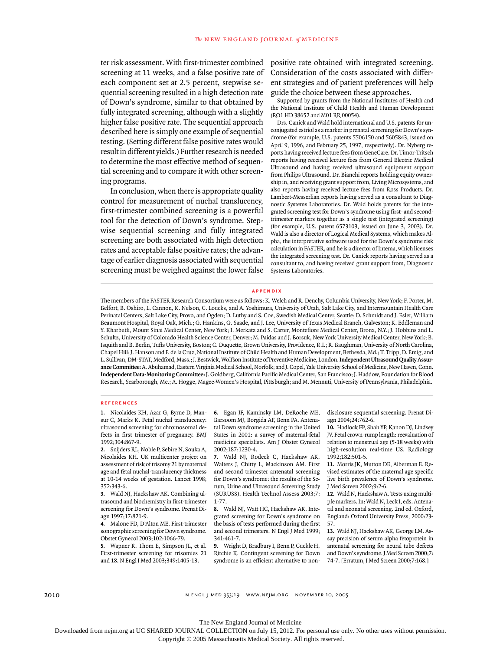ter risk assessment. With first-trimester combined screening at 11 weeks, and a false positive rate of each component set at 2.5 percent, stepwise sequential screening resulted in a high detection rate of Down's syndrome, similar to that obtained by fully integrated screening, although with a slightly higher false positive rate. The sequential approach described here is simply one example of sequential testing. (Setting different false positive rates would result in different yields.) Further research is needed to determine the most effective method of sequential screening and to compare it with other screening programs.

In conclusion, when there is appropriate quality control for measurement of nuchal translucency, first-trimester combined screening is a powerful tool for the detection of Down's syndrome. Stepwise sequential screening and fully integrated screening are both associated with high detection rates and acceptable false positive rates; the advantage of earlier diagnosis associated with sequential screening must be weighed against the lower false positive rate obtained with integrated screening. Consideration of the costs associated with different strategies and of patient preferences will help guide the choice between these approaches.

Supported by grants from the National Institutes of Health and the National Institute of Child Health and Human Development (RO1 HD 38652 and M01 RR 00054).

Drs. Canick and Wald hold international and U.S. patents for unconjugated estriol as a marker in prenatal screening for Down's syndrome (for example, U.S. patents 5506150 and 5605843, issued on April 9, 1996, and February 25, 1997, respectively). Dr. Nyberg reports having received lecture fees from GeneCare. Dr. Timor-Tritsch reports having received lecture fees from General Electric Medical Ultrasound and having received ultrasound equipment support from Philips Ultrasound. Dr. Bianchi reports holding equity ownership in, and receiving grant support from, Living Microsystems, and also reports having received lecture fees from Ross Products. Dr. Lambert-Messerlian reports having served as a consultant to Diagnostic Systems Laboratories. Dr. Wald holds patents for the integrated screening test for Down's syndrome using first- and secondtrimester markers together as a single test (integrated screening) (for example, U.S. patent 6573103, issued on June 3, 2003). Dr. Wald is also a director of Logical Medical Systems, which makes Alpha, the interpretative software used for the Down's syndrome risk calculation in FASTER, and he is a director of Intema, which licenses the integrated screening test. Dr. Canick reports having served as a consultant to, and having received grant support from, Diagnostic Systems Laboratories.

#### **appendix**

The members of the FASTER Research Consortium were as follows: K. Welch and R. Denchy, Columbia University, New York; F. Porter, M. Belfort, B. Oshiro, L. Cannon, K. Nelson, C. Loucks, and A. Yoshimura, University of Utah, Salt Lake City, and Intermountain Health Care Perinatal Centers, Salt Lake City, Provo, and Ogden; D. Luthy and S. Coe, Swedish Medical Center, Seattle; D. Schmidt and J. Esler, William Beaumont Hospital, Royal Oak, Mich.; G. Hankins, G. Saade, and J. Lee, University of Texas Medical Branch, Galveston; K. Eddleman and Y. Kharbutli, Mount Sinai Medical Center, New York; I. Merkatz and S. Carter, Montefiore Medical Center, Bronx, N.Y.; J. Hobbins and L. Schultz, University of Colorado Health Science Center, Denver; M. Paidas and J. Borsuk, New York University Medical Center, New York; B. Isquith and B. Berlin, Tufts University, Boston; C. Duquette, Brown University, Providence, R.I.; R. Baughman, University of North Carolina, Chapel Hill; J. Hanson and F. de la Cruz, National Institute of Child Health and Human Development, Bethesda, Md.; T. Tripp, D. Emig, and L. Sullivan, DM-STAT, Medford, Mass.; J. Bestwick, Wolfson Institute of Preventive Medicine, London. **Independent Ultrasound Quality Assurance Committee:** A. Abuhamad, Eastern Virginia Medical School, Norfolk; and J. Copel, Yale University School of Medicine, New Haven, Conn. **Independent Data-Monitoring Committee:** J. Goldberg, California Pacific Medical Center, San Francisco; J. Haddow, Foundation for Blood Research, Scarborough, Me.; A. Hogge, Magee-Women's Hospital, Pittsburgh; and M. Mennuti, University of Pennsylvania, Philadelphia.

#### **references**

**1.** Nicolaides KH, Azar G, Byrne D, Mansur C, Marks K. Fetal nuchal translucency: ultrasound screening for chromosomal defects in first trimester of pregnancy. BMJ 1992;304:867-9.

**2.** Snijders RL, Noble P, Sebire N, Souka A, Nicolaides KH. UK multicenter project on assessment of risk of trisomy 21 by maternal age and fetal nuchal-translucency thickness at 10-14 weeks of gestation. Lancet 1998; 352:343-6.

**3.** Wald NJ, Hackshaw AK. Combining ultrasound and biochemistry in first-trimester screening for Down's syndrome. Prenat Diagn 1997;17:821-9.

**4.** Malone FD, D'Alton ME. First-trimester sonographic screening for Down syndrome. Obstet Gynecol 2003;102:1066-79.

**5.** Wapner R, Thom E, Simpson JL, et al. First-trimester screening for trisomies 21 and 18. N Engl J Med 2003;349:1405-13.

**6.** Egan JF, Kaminsky LM, DeRoche ME, Barsoom MJ, Borgida AF, Benn PA. Antenatal Down syndrome screening in the United States in 2001: a survey of maternal-fetal medicine specialists. Am J Obstet Gynecol 2002;187:1230-4.

**7.** Wald NJ, Rodeck C, Hackshaw AK, Walters J, Chitty L, Mackinson AM. First and second trimester antenatal screening for Down's syndrome: the results of the Serum, Urine and Ultrasound Screening Study (SURUSS). Health Technol Assess 2003;7: 1-77.

**8.** Wald NJ, Watt HC, Hackshaw AK. Integrated screening for Down's syndrome on the basis of tests performed during the first and second trimesters. N Engl J Med 1999; 341:461-7.

**9.** Wright D, Bradbury I, Benn P, Cuckle H, Ritchie K. Contingent screening for Down syndrome is an efficient alternative to nondisclosure sequential screening. Prenat Diagn 2004;24:762-6.

**10.** Hadlock FP, Shah YP, Kanon DJ, Lindsey JV. Fetal crown-rump length: reevaluation of relation to menstrual age (5-18 weeks) with high-resolution real-time US. Radiology 1992;182:501-5.

**11.** Morris JK, Mutton DE, Alberman E. Revised estimates of the maternal age specific live birth prevalence of Down's syndrome. J Med Screen 2002;9:2-6.

**12.** Wald N, Hackshaw A. Tests using multiple markers. In: Wald N, Leck I, eds. Antenatal and neonatal screening. 2nd ed. Oxford, England: Oxford University Press, 2000:23- 57.

**13.** Wald NJ, Hackshaw AK, George LM. Assay precision of serum alpha fetoprotein in antenatal screening for neural tube defects and Down's syndrome. J Med Screen 2000;7: 74-7. [Erratum, J Med Screen 2000;7:168.]